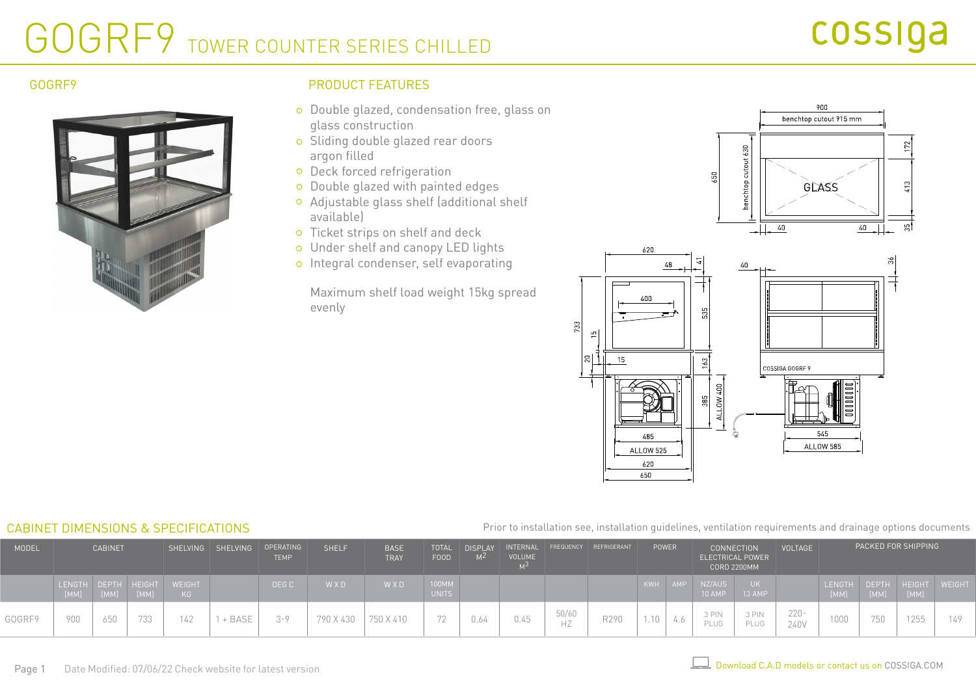# GOGRF9 TOWER COUNTER SERIES CHILLED

### GOGRF9



## PRODUCT FEATURES

- o Double glazed, condensation free, glass on glass construction
- o Sliding double glazed rear doors argon filled
- o Deck forced refrigeration
- Double glazed with painted edges
- Adjustable glass shelf (additional shelf available)
- o Ticket strips on shelf and deck
- Under shelf and canopy LED lights
- o Integral condenser, self evaporating

Maximum shelf load weight 15kg spread evenly





#### CABINET DIMENSIONS & SPECIFICATIONS

Prior to installation see, installation guidelines, ventilation requirements and drainage options documents

| <b>MODEL</b> | <b>CABINET</b>              |      |            |              |             |         | SHELVING SHELVING OPERATING | <b>TEMP</b> | <b>SHELF</b>          | <b>BASE</b><br><b>TRAY</b> | <b>TOTAL</b><br><b>FOOD</b> | <b>DISPLAY</b> | <b>INTERNAL</b><br><b>VOLUME</b><br>$M^3$ |      | FREQUENCY REFRIGERANT | POWER            |               | <b>CONNECTION</b><br><b>ELECTRICAL POWER</b><br><b>CORD 2200MM</b> |                       | <b>VOLTAGE</b>       | PACKED FOR SHIPPING |              |  |  |
|--------------|-----------------------------|------|------------|--------------|-------------|---------|-----------------------------|-------------|-----------------------|----------------------------|-----------------------------|----------------|-------------------------------------------|------|-----------------------|------------------|---------------|--------------------------------------------------------------------|-----------------------|----------------------|---------------------|--------------|--|--|
|              | LENGTH DEPTH HEIGHT<br>[MM] | [MM] | [MM]       | WEIGHT<br>KG |             | DEG C   | WXD                         | WXD         | 100MM<br><b>UNITS</b> |                            |                             |                |                                           | KWH  | AMP                   | NZ/AUS<br>10 AMP | 13 AMP        |                                                                    | <b>LENGTH</b><br>[MM] | <b>DEPTH</b><br>[MM] | HEIGHT<br>[MM]      | <b>WEIGH</b> |  |  |
| GOGRF9       | 900                         | 650  | 700<br>733 | 42           | <b>BASE</b> | $2 - Q$ | 790 X 430                   | 750 X 410   | 72                    |                            | 0.45                        | 50/60<br>HZ    | R290                                      | 1.10 |                       | 3 PIN<br>PLUG    | 3 PIN<br>PLUG | $220 -$<br>240V                                                    | 1000                  | 750                  | 1255                | 149          |  |  |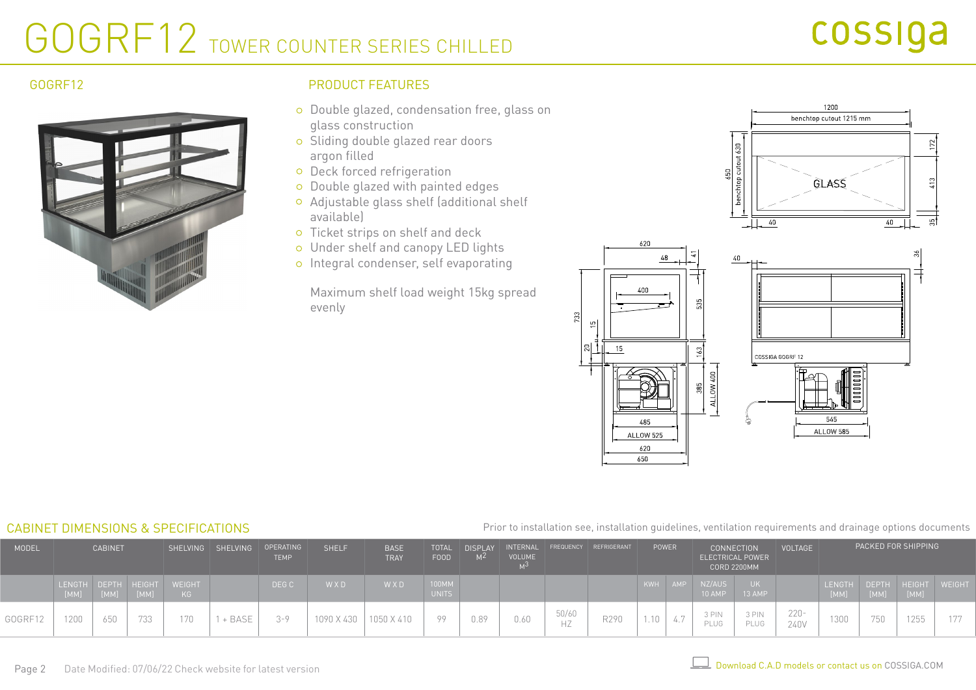# GOGRF12 TOWER COUNTER SERIES CHILLED

### GOGRF12



## PRODUCT FEATURES

- o Double glazed, condensation free, glass on glass construction
- o Sliding double glazed rear doors argon filled
- o Deck forced refrigeration
- Double glazed with painted edges
- Adjustable glass shelf (additional shelf available)
- o Ticket strips on shelf and deck
- Under shelf and canopy LED lights
- o Integral condenser, self evaporating

Maximum shelf load weight 15kg spread evenly





#### CABINET DIMENSIONS & SPECIFICATIONS

Prior to installation see, installation guidelines, ventilation requirements and drainage options documents

| MODEL   | <b>CABINET</b>        |      |                      |                     |        |         | SHELVING SHELVING OPERATING | <b>TEMP</b> | <b>SHELF</b>          | <b>BASE</b><br><b>TRAY</b> | <b>TOTAL</b><br>FOOD | <b>DISPLAY</b><br>M۷ | INTERNAL<br><b>VOLUME</b> |            | FREQUENCY REFRIGERANT        | POWER                   |                     | <b>CONNECTION</b><br><b>ELECTRICAL POWER</b><br><b>CORD 2200MM</b> |                       | VOLTAGE              | PACKED FOR SHIPPING |                 |  |
|---------|-----------------------|------|----------------------|---------------------|--------|---------|-----------------------------|-------------|-----------------------|----------------------------|----------------------|----------------------|---------------------------|------------|------------------------------|-------------------------|---------------------|--------------------------------------------------------------------|-----------------------|----------------------|---------------------|-----------------|--|
|         | <b>LENGTH</b><br>[MM] | [MM] | DEPTH HEIGHT<br>[MM] | <b>WEIGHT</b><br>KG |        | DEG C   | W X D                       | WXD         | 100MM<br><b>UNITS</b> |                            |                      |                      |                           | <b>KWH</b> | AMP                          | NZ/AUS<br><b>10 AMP</b> | <b>UK</b><br>13 AMP |                                                                    | <b>LENGTH</b><br>[MM] | DEPTH HEIGHT<br>[MM] | [MM]                | <b>WEIGH</b>    |  |
| GOGRF12 | 1200                  | 650  | 722                  | 170                 | + BASE | $3 - 9$ | 1090 X 430                  | 1050 X 410  | QQ                    | 0.89                       | 0.60                 | 50/60<br>HZ          | R290                      | 1.10       | $\sqrt{2}$<br>$+$ . $\prime$ | 3 PIN<br>PLUG           | 3 PIN<br>PLUG       | $220 -$<br>240V                                                    | 1300                  | 750                  | 1055<br>∣∠∪J        | 177<br>$\cdots$ |  |

733